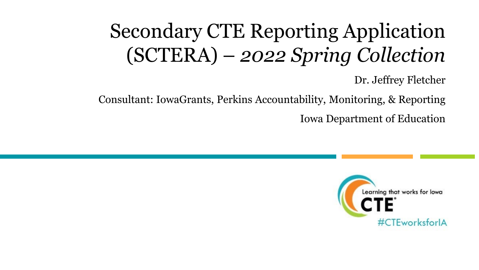# Secondary CTE Reporting Application (SCTERA) – *2022 Spring Collection*

Dr. Jeffrey Fletcher

Consultant: IowaGrants, Perkins Accountability, Monitoring, & Reporting Iowa Department of Education

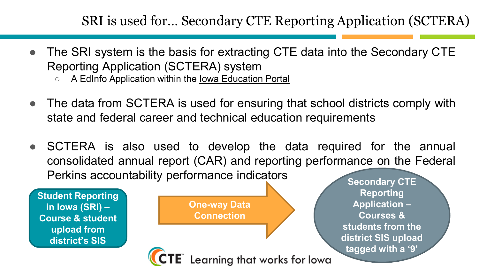#### SRI is used for… Secondary CTE Reporting Application (SCTERA)

- The SRI system is the basis for extracting CTE data into the Secondary CTE Reporting Application (SCTERA) system
	- A EdInfo Application within the Iowa [Education](https://portal.ed.iowa.gov/iowalandingpage/landing.aspx) Portal
- The data from SCTERA is used for ensuring that school districts comply with state and federal career and technical education requirements
- SCTERA is also used to develop the data required for the annual consolidated annual report (CAR) and reporting performance on the Federal Perkins accountability performance indicators

Learning that works for lowa

**Student Reporting in Iowa (SRI) – Course & student upload from district's SIS**

**One-way Data Connection**

**Secondary CTE Reporting Application – Courses & students from the district SIS upload tagged with a '9'**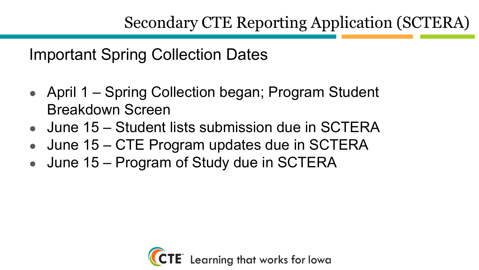Important Spring Collection Dates

- April 1 Spring Collection began; Program Student Breakdown Screen
- $\bullet$  June 15 Student lists submission due in SCTERA
- June 15 CTE Program updates due in SCTERA
- June 15 Program of Study due in SCTERA

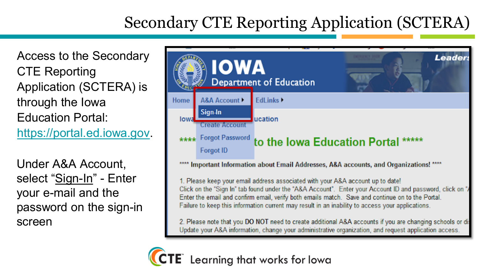Access to the Secondary CTE Reporting Application (SCTERA) is through the Iowa Education Portal: [https://portal.ed.iowa.gov](https://portal.ed.iowa.gov/).

Under A&A Account, select "Sign-In" - Enter your e-mail and the password on the sign-in screen



\*\*\*\* Important Information about Email Addresses, A&A accounts, and Organizations! \*\*\*\*

1. Please keep your email address associated with your A&A account up to date! Click on the "Sign In" tab found under the "A&A Account". Enter your Account ID and password, click on " Enter the email and confirm email, verify both emails match. Save and continue on to the Portal. Failure to keep this information current may result in an inability to access your applications.

2. Please note that you DO NOT need to create additional A&A accounts if you are changing schools or di-Update your A&A information, change your administrative organization, and request application access.

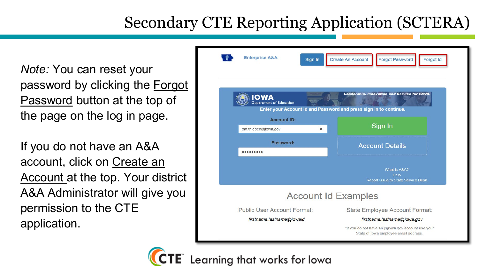*Note:* You can reset your password by clicking the Forgot Password button at the top of the page on the log in page.

If you do not have an A&A account, click on Create an Account at the top. Your district A&A Administrator will give you permission to the CTE application.



Learning that works for lowa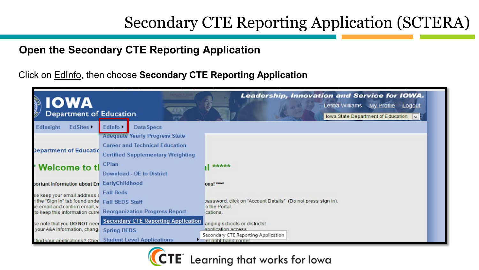#### **Open the Secondary CTE Reporting Application**

Click on EdInfo, then choose **Secondary CTE Reporting Application**

| Department of<br><b>Department of Education</b>                  |                                                         | <b>Leadership, Innovation and Service for IOWA.</b><br>Letitia Williams My Profile<br>Logout<br>Iowa State Department of Education $\ \vee\ $ |
|------------------------------------------------------------------|---------------------------------------------------------|-----------------------------------------------------------------------------------------------------------------------------------------------|
| Edlnsight<br><b>EdSites</b>                                      | Data Specs<br>Edlnfo <sup>+</sup>                       |                                                                                                                                               |
|                                                                  | <b>Adequate Yearly Progress State</b>                   |                                                                                                                                               |
|                                                                  | <b>Career and Technical Education</b>                   |                                                                                                                                               |
| Department of Educatic                                           | <b>Certified Supplementary Weighting</b>                |                                                                                                                                               |
| * Welcome to tl                                                  | CPlan                                                   | *****                                                                                                                                         |
|                                                                  | Download - DE to District                               |                                                                                                                                               |
| portant Information about En Early Childhood                     |                                                         | ons! ****                                                                                                                                     |
| se keep your email address a                                     | <b>Fall Beds</b>                                        |                                                                                                                                               |
| h the "Sign In" tab found unde                                   | <b>Fall BEDS Staff</b>                                  | password, click on "Account Details" (Do not press sign in).                                                                                  |
| le email and confirm email, vi<br>to keep this information curre | <b>Reorganization Progress Report</b>                   | to the Portal.<br>cations.                                                                                                                    |
| se note that you DO NOT need                                     | <b>Secondary CTE Reporting Application</b>              | anging schools or districts!                                                                                                                  |
| your A&A information, change                                     | <b>Spring BEDS</b>                                      | application access                                                                                                                            |
|                                                                  | find your applications? Chec Student Level Applications | Secondary CTE Reporting Application<br>ier noht-hand corner.                                                                                  |

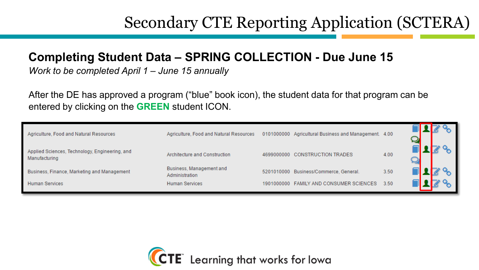#### **Completing Student Data – SPRING COLLECTION - Due June 15**

*Work to be completed April 1 – June 15 annually*

After the DE has approved a program ("blue" book icon), the student data for that program can be entered by clicking on the **GREEN** student ICON.

| Agriculture, Food and Natural Resources                         | Agriculture, Food and Natural Resources    |            | 0101000000 Agricultural Business and Management. 4.00 |      |  |
|-----------------------------------------------------------------|--------------------------------------------|------------|-------------------------------------------------------|------|--|
| Applied Sciences, Technology, Engineering, and<br>Manufacturing | Architecture and Construction              | 4699000000 | <b>CONSTRUCTION TRADES</b>                            | 4.00 |  |
| Business, Finance, Marketing and Management                     | Business, Management and<br>Administration |            | 5201010000 Business/Commerce, General.                | 3.50 |  |
| <b>Human Services</b>                                           | <b>Human Services</b>                      | 1901000000 | <b>FAMILY AND CONSUMER SCIENCES</b>                   | 3.50 |  |

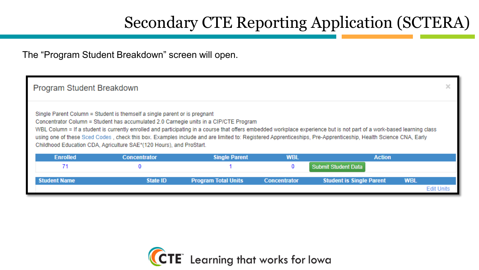The "Program Student Breakdown" screen will open.

| Program Student Breakdown |                                                                                                                                                                                                                                           |                            |                     |                                                                                                                                                                                                                                                                                                                                         |            | ×                 |
|---------------------------|-------------------------------------------------------------------------------------------------------------------------------------------------------------------------------------------------------------------------------------------|----------------------------|---------------------|-----------------------------------------------------------------------------------------------------------------------------------------------------------------------------------------------------------------------------------------------------------------------------------------------------------------------------------------|------------|-------------------|
|                           | Single Parent Column = Student is themself a single parent or is pregnant<br>Concentrator Column = Student has accumulated 2.0 Carnegie units in a CIP/CTE Program<br>Childhood Education CDA, Agriculture SAE*(120 Hours), and ProStart. |                            |                     | WBL Column = If a student is currently enrolled and participating in a course that offers embedded workplace experience but is not part of a work-based learning class<br>using one of these Sced Codes, check this box. Examples include and are limited to: Registered Apprenticeships, Pre-Apprenticeship, Health Science CNA, Early |            |                   |
| <b>Enrolled</b>           | <b>Concentrator</b>                                                                                                                                                                                                                       | <b>Single Parent</b>       | <b>WBL</b>          | <b>Action</b>                                                                                                                                                                                                                                                                                                                           |            |                   |
| 71                        |                                                                                                                                                                                                                                           |                            | 0                   | <b>Submit Student Data</b>                                                                                                                                                                                                                                                                                                              |            |                   |
| <b>Student Name</b>       | State ID                                                                                                                                                                                                                                  | <b>Program Total Units</b> | <b>Concentrator</b> | <b>Student is Single Parent</b>                                                                                                                                                                                                                                                                                                         | <b>WBL</b> |                   |
|                           |                                                                                                                                                                                                                                           |                            |                     |                                                                                                                                                                                                                                                                                                                                         |            | <b>Edit Units</b> |

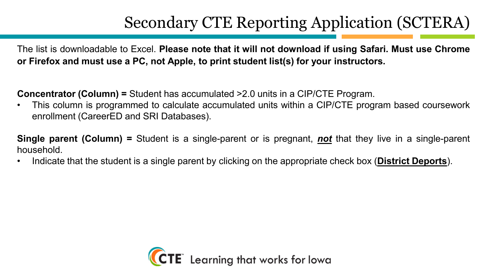The list is downloadable to Excel. **Please note that it will not download if using Safari. Must use Chrome or Firefox and must use a PC, not Apple, to print student list(s) for your instructors.**

**Concentrator (Column) =** Student has accumulated >2.0 units in a CIP/CTE Program.

• This column is programmed to calculate accumulated units within a CIP/CTE program based coursework enrollment (CareerED and SRI Databases).

**Single parent (Column) =** Student is a single-parent or is pregnant, *not* that they live in a single-parent household.

• Indicate that the student is a single parent by clicking on the appropriate check box (**District Deports**).

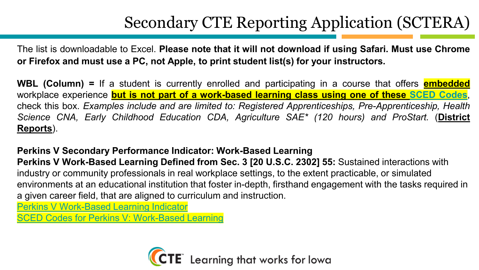The list is downloadable to Excel. **Please note that it will not download if using Safari. Must use Chrome or Firefox and must use a PC, not Apple, to print student list(s) for your instructors.**

**WBL (Column) =** If a student is currently enrolled and participating in a course that offers **embedded** workplace experience **but is not part of a work-based learning class using one of these SCED [Codes](https://educateiowa.gov/sites/files/ed/documents/SCED%20Codes%20for%20Perkins%20V%20-%20Work-Based%20Learning.pdf)**, check this box. *Examples include and are limited to: Registered Apprenticeships, Pre-Apprenticeship, Health Science CNA, Early Childhood Education CDA, Agriculture SAE\* (120 hours) and ProStart.* (**District Reports**).

**Perkins V Secondary Performance Indicator: Work-Based Learning Perkins V Work-Based Learning Defined from Sec. 3 [20 U.S.C. 2302] 55:** Sustained interactions with industry or community professionals in real workplace settings, to the extent practicable, or simulated environments at an educational institution that foster in-depth, firsthand engagement with the tasks required in a given career field, that are aligned to curriculum and instruction.

[Perkins V Work-Based Learning Indicator](https://educateiowa.gov/documents/perkins/2021/05/perkins-v-work-based-learning-indicator)

[SCED Codes for Perkins V: Work-Based Learning](https://educateiowa.gov/documents/perkins-v/2021/09/sced-codes-perkins-v-work-based-learning)

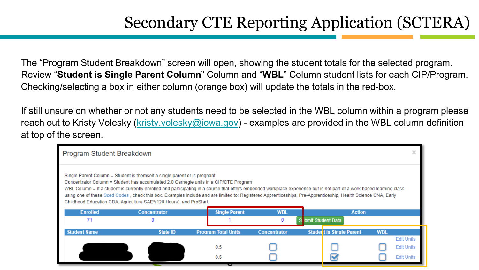The "Program Student Breakdown" screen will open, showing the student totals for the selected program. Review "**Student is Single Parent Column**" Column and "**WBL**" Column student lists for each CIP/Program. Checking/selecting a box in either column (orange box) will update the totals in the red-box.

If still unsure on whether or not any students need to be selected in the WBL column within a program please reach out to Kristy Volesky [\(kristy.volesky@iowa.gov](mailto:kristy.volesky@iowa.gov)) - examples are provided in the WBL column definition at top of the screen.

| Program Student Breakdown |                                                                                                                                                                                                                                                                  |                            |                        |                                                                                                                                                                                                                                                                                                                                                                                   |            |  |
|---------------------------|------------------------------------------------------------------------------------------------------------------------------------------------------------------------------------------------------------------------------------------------------------------|----------------------------|------------------------|-----------------------------------------------------------------------------------------------------------------------------------------------------------------------------------------------------------------------------------------------------------------------------------------------------------------------------------------------------------------------------------|------------|--|
| <b>Enrolled</b><br>71     | Single Parent Column = Student is themself a single parent or is pregnant<br>Concentrator Column = Student has accumulated 2.0 Carnegie units in a CIP/CTE Program<br>Childhood Education CDA, Agriculture SAE*(120 Hours), and ProStart.<br><b>Concentrator</b> | <b>Single Parent</b>       | <b>WBL</b><br>$\Omega$ | WBL Column = If a student is currently enrolled and participating in a course that offers embedded workplace experience but is not part of a work-based learning class<br>using one of these Sced Codes, check this box. Examples include and are limited to: Registered Apprenticeships, Pre-Apprenticeship, Health Science CNA, Early<br><b>Action</b><br>Si ibmit Student Data |            |  |
|                           |                                                                                                                                                                                                                                                                  |                            |                        |                                                                                                                                                                                                                                                                                                                                                                                   |            |  |
|                           |                                                                                                                                                                                                                                                                  |                            |                        |                                                                                                                                                                                                                                                                                                                                                                                   |            |  |
| <b>Student Name</b>       | State ID                                                                                                                                                                                                                                                         | <b>Program Total Units</b> | <b>Concentrator</b>    | <b>Student is Single Parent</b>                                                                                                                                                                                                                                                                                                                                                   | <b>WBL</b> |  |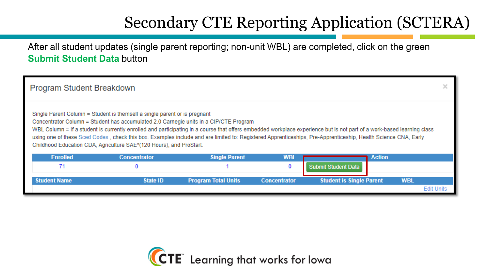After all student updates (single parent reporting; non-unit WBL) are completed, click on the green **Submit Student Data** button

| Program Student Breakdown |                                                                                                                                                                                                                                           |                            |                     |                                                                                                                                                                                                                                                                                                                                         |            |                   |
|---------------------------|-------------------------------------------------------------------------------------------------------------------------------------------------------------------------------------------------------------------------------------------|----------------------------|---------------------|-----------------------------------------------------------------------------------------------------------------------------------------------------------------------------------------------------------------------------------------------------------------------------------------------------------------------------------------|------------|-------------------|
|                           | Single Parent Column = Student is themself a single parent or is pregnant<br>Concentrator Column = Student has accumulated 2.0 Carnegie units in a CIP/CTE Program<br>Childhood Education CDA, Agriculture SAE*(120 Hours), and ProStart. |                            |                     | WBL Column = If a student is currently enrolled and participating in a course that offers embedded workplace experience but is not part of a work-based learning class<br>using one of these Sced Codes, check this box. Examples include and are limited to: Registered Apprenticeships, Pre-Apprenticeship, Health Science CNA, Early |            |                   |
| <b>Enrolled</b>           | <b>Concentrator</b>                                                                                                                                                                                                                       | <b>Single Parent</b>       | <b>WBL</b>          | <b>Action</b>                                                                                                                                                                                                                                                                                                                           |            |                   |
| 71                        | 0                                                                                                                                                                                                                                         |                            | 0                   | <b>Submit Student Data</b>                                                                                                                                                                                                                                                                                                              |            |                   |
| <b>Student Name</b>       | State ID                                                                                                                                                                                                                                  | <b>Program Total Units</b> | <b>Concentrator</b> | <b>Student is Single Parent</b>                                                                                                                                                                                                                                                                                                         | <b>WBL</b> |                   |
|                           |                                                                                                                                                                                                                                           |                            |                     |                                                                                                                                                                                                                                                                                                                                         |            | <b>Edit Units</b> |

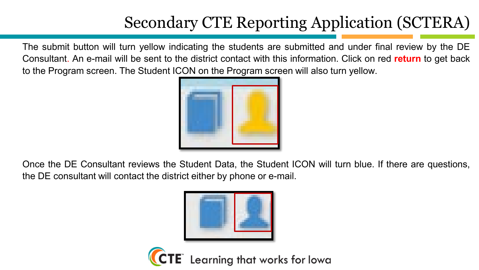The submit button will turn yellow indicating the students are submitted and under final review by the DE Consultant. An e-mail will be sent to the district contact with this information. Click on red **return** to get back to the Program screen. The Student ICON on the Program screen will also turn yellow.



Once the DE Consultant reviews the Student Data, the Student ICON will turn blue. If there are questions, the DE consultant will contact the district either by phone or e-mail.



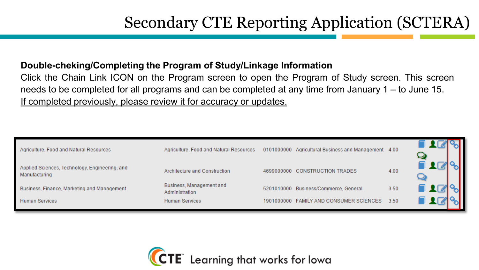#### **Double-cheking/Completing the Program of Study/Linkage Information**

Click the Chain Link ICON on the Program screen to open the Program of Study screen. This screen needs to be completed for all programs and can be completed at any time from January 1 – to June 15. If completed previously, please review it for accuracy or updates.

| Agriculture, Food and Natural Resources                         | Agriculture, Food and Natural Resources    |            | 0101000000 Agricultural Business and Management. 4.00 |      |  |
|-----------------------------------------------------------------|--------------------------------------------|------------|-------------------------------------------------------|------|--|
| Applied Sciences, Technology, Engineering, and<br>Manufacturing | Architecture and Construction              |            | 4699000000 CONSTRUCTION TRADES                        | 4.00 |  |
| Business, Finance, Marketing and Management                     | Business, Management and<br>Administration |            | 5201010000 Business/Commerce, General.                | 3.50 |  |
| <b>Human Services</b>                                           | <b>Human Services</b>                      | 1901000000 | <b>FAMILY AND CONSUMER SCIENCES</b>                   | 3.50 |  |

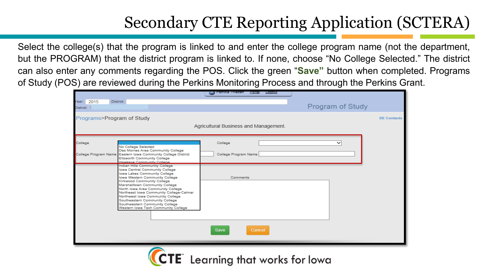Select the college(s) that the program is linked to and enter the college program name (not the department, but the PROGRAM) that the district program is linked to. If none, choose "No College Selected." The district can also enter any comments regarding the POS. Click the green "**Save"** button when completed. Programs of Study (POS) are reviewed during the Perkins Monitoring Process and through the Perkins Grant.

|                                             |                                                                                                                                                                                                                                                                                                                                                                                                                                   | <b>Ga Patricia i nieben</b><br>Portal<br>Logout |                         |                    |
|---------------------------------------------|-----------------------------------------------------------------------------------------------------------------------------------------------------------------------------------------------------------------------------------------------------------------------------------------------------------------------------------------------------------------------------------------------------------------------------------|-------------------------------------------------|-------------------------|--------------------|
| Year: 2015<br><b>District:</b><br>District: |                                                                                                                                                                                                                                                                                                                                                                                                                                   |                                                 | <b>Program of Study</b> |                    |
| Programs>Program of Study                   |                                                                                                                                                                                                                                                                                                                                                                                                                                   |                                                 |                         | <b>DE Contacts</b> |
|                                             |                                                                                                                                                                                                                                                                                                                                                                                                                                   | Agricultural Business and Management.           |                         |                    |
| College                                     | No College Selected                                                                                                                                                                                                                                                                                                                                                                                                               | College                                         | $\checkmark$            |                    |
|                                             | Des Moines Area Community College<br>College Program Name Eastern Iowa Community College District<br><b>Ellsworth Community College</b><br>Hawkeye Community College                                                                                                                                                                                                                                                              | College Program Name                            |                         |                    |
|                                             | Indian Hills Community College<br>Iowa Central Community College<br>lowa Lakes Community College<br>Iowa Western Community College<br>Kirkwood Community College<br>Marshalltown Community College<br>North Iowa Area Community College<br>Northeast Iowa Community College-Calmar<br>Northwest lows Community College<br>Southeastern Community College<br>Southwestern Community College<br>Western Iowa Tech Community College | Comments<br>Save<br>Cancel                      |                         |                    |
|                                             |                                                                                                                                                                                                                                                                                                                                                                                                                                   |                                                 |                         |                    |

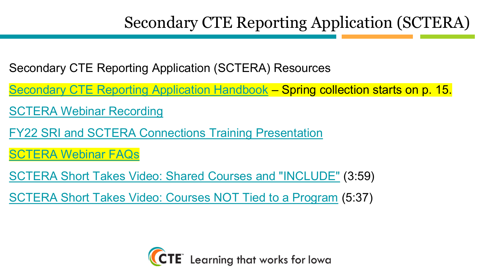- Secondary CTE Reporting Application (SCTERA) Resources
- [Secondary CTE Reporting Application Handbook](https://educateiowa.gov/documents/technical-assistance-cte/2021/12/secondary-cte-reporting-application-handbook) Spring collection starts on p. 15.
- [SCTERA Webinar Recording](https://www.youtube.com/watch?v=lmsgirQyq_4)
- [FY22 SRI and SCTERA Connections Training Presentation](https://educateiowa.gov/documents/technical-assistance-cte/2022/01/fy22-sri-and-sctera-connections-training-presentation)
- [SCTERA Webinar FAQs](https://educateiowa.gov/documents/technical-assistance-cte/2021/12/sctera-webinar-faqs)
- [SCTERA Short Takes Video: Shared Courses and "INCLUDE"](https://www.youtube.com/watch?v=dYjoem2uoMM&feature=youtu.be) (3:59)
- [SCTERA Short Takes Video: Courses NOT Tied to a Program](https://www.youtube.com/watch?v=ZEr358WqxCc&feature=youtu.be) (5:37)